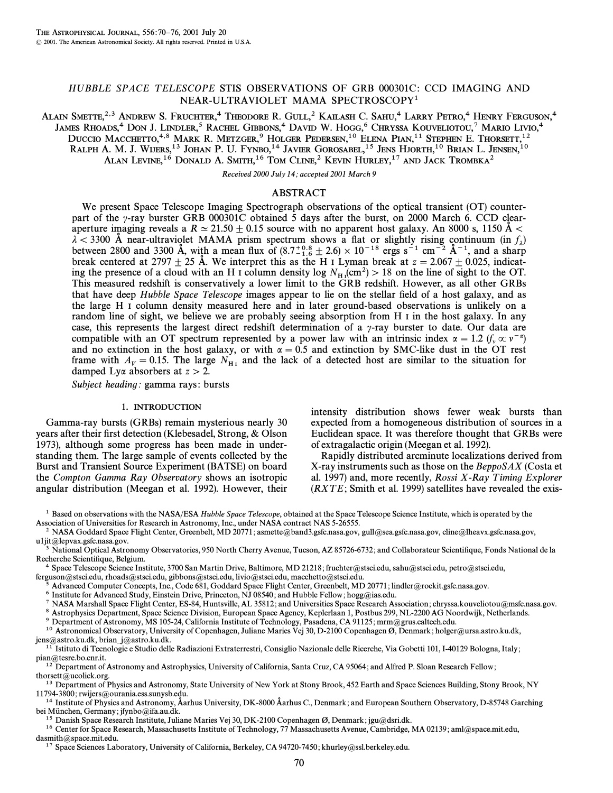# HUBBLE SPACE TELESCOPE STIS OBSERVATIONS OF GRB 000301C: CCD IMAGING AND NEAR-ULTRAVIOLET MAMA SPECTROSCOPY1

ALAIN SMETTE,<sup>2,3</sup> ANDREW S. FRUCHTER,<sup>4</sup> THEODORE R. GULL,<sup>2</sup> KAILASH C. SAHU,<sup>4</sup> LARRY PETRO,<sup>4</sup> HENRY FERGUSON,<sup>4</sup> JAMES RHOADS,4 DON J. LINDLER,5 RACHEL GIBBONS,4 DAVID W. HOGG,6 CHRYSSA KOUVELIOTOU,7 MARIO LIVIO,4 DUCCIO MACCHETTO,<sup>4,8</sup> MARK R. METZGER,<sup>9</sup> HOLGER PEDERSEN,<sup>10</sup> ELENA PIAN,<sup>11</sup> STEPHEN E. THORSETT,<sup>12</sup> Ralph A. M. J. Wijers,<sup>13</sup> Johan P. U. Fynbo,<sup>14</sup> Javier Gorosabel,<sup>15</sup> Jens Hjorth,<sup>10</sup> Brian L. Jensen,<sup>10</sup> Alan Levine, $^{16}$  Donald A. Smith, $^{16}$  Tom Cline, $^2$  Kevin Hurley, $^{17}$  and Jack Trombka $^2$ 

Received 2000 July 14; accepted 2001 March 9

# ABSTRACT

We present Space Telescope Imaging Spectrograph observations of the optical transient (OT) counterpart of the  $\gamma$ -ray burster GRB 000301C obtained 5 days after the burst, on 2000 March 6. CCD clearaperture imaging reveals a  $R \simeq 21.50 \pm 0.15$  source with no apparent host galaxy. An 8000 s, 1150 Å  $\lt$  $\lambda$  < 3300 Å near-ultraviolet MAMA prism spectrum shows a flat or slightly rising continuum (in  $f_{\lambda}$ )<br>between 2800 and 3300 Å with a mean flux of (8.7<sup>+0.8</sup> + 2.6) × 10<sup>-18</sup> ergs s<sup>-1</sup> cm<sup>-2</sup> Å<sup>-1</sup> and a sharp between 2800 and 3300 A, with a mean flux of  $(8.7^{+0.8}_{-1.6} \pm 2.6) \times 10^{-18}$  ergs s<sup>-1</sup> cm<sup>-2</sup> A<sup>-1</sup>, and a sharp break centered at 2707 + 25 Å. We interpret this as the H<sub>J</sub> I yman break at  $z = 2.067 \pm 0.025$  indicated break centered at 2797  $\pm$  25 Å. We interpret this as the H I Lyman break at  $z = 2.067 \pm 0.025$ , indicating the presence of a cloud with an H I column density  $\log N_{\text{H}}$  (cm<sup>2</sup>) > 18 on the line of sight to the OT.<br>This measured redshift is conservatively a lower limit to the GPB redshift. However, as all other GBBs This measured redshift is conservatively a lower limit to the GRB redshift. However, as all other GRBs that have deep Hubble Space Telescope images appear to lie on the stellar field of a host galaxy, and as the large H I column density measured here and in later ground-based observations is unlikely on a random line of sight, we believe we are probably seeing absorption from H I in the host galaxy. In any case, this represents the largest direct redshift determination of a  $\gamma$ -ray burster to date. Our data are compatible with an OT spectrum represented by a power law with an intrinsic index  $\alpha = 1.2$  (f<sub>y</sub>  $\propto v^{-\alpha}$ ) and no extinction in the host galaxy, or with  $\alpha = 0.5$  and extinction by SMC-like dust in the OT rest frame with  $A_V = 0.15$ . The large  $N_{\text{H}_{\text{I}}}$  and the lack of a detected host are similar to the situation for damped Ly $\alpha$  absorbers at  $z > 2$ .

Subject heading: gamma rays: bursts

# 1. INTRODUCTION

Gamma-ray bursts (GRBs) remain mysterious nearly 30 years after their first detection (Klebesadel, Strong,  $\&$  Olson 1973), although some progress has been made in understanding them. The large sample of events collected by the Burst and Transient Source Experiment (BATSE) on board the Compton Gamma Ray Observatory shows an isotropic angular distribution (Meegan et al. 1992). However, their intensity distribution shows fewer weak bursts than expected from a homogeneous distribution of sources in a Euclidean space. It was therefore thought that GRBs were of extragalactic origin (Meegan et al. 1992).

Rapidly distributed arcminute localizations derived from X-ray instruments such as those on the BeppoSAX (Costa et al. 1997) and, more recently, Rossi  $X$ -Ray Timing Explorer  $(RXTE; Smith et al. 1999)$  satellites have revealed the exis-

<sup>1</sup> Based on observations with the NASA/ESA Hubble Space Telescope, obtained at the Space Telescope Science Institute, which is operated by the Association of Universities for Research in Astronomy, Inc., under NASA contract NAS 5-26555.

<sup>2</sup> NASA Goddard Space Flight Center, Greenbelt, MD 20771; asmette@band3.gsfc.nasa.gov, gull@sea.gsfc.nasa.gov, cline@lheavx.gsfc.nasa.gov, u1jit@lepvax.gsfc.nasa.gov.

National Optical Astronomy Observatories, 950 North Cherry Avenue, Tucson, AZ 85726-6732; and Collaborateur Scientifique, Fonds National de la Recherche Scientifique, Belgium.

4 Space Telescope Science Institute, 3700 San Martin Drive, Baltimore, MD 21218; fruchter@stsci.edu, sahu@stsci.edu, petro@stsci.edu, ferguson@stsci.edu, rhoads@stsci.edu, gibbons@stsci.edu, livio@stsci.edu, macchetto@stsci.edu.

<sup>5</sup> Advanced Computer Concepts, Inc., Code 681, Goddard Space Flight Center, Greenbelt, MD 20771; lindler@rockit.gsfc.nasa.gov.<br><sup>6</sup> Institute for Advanced Study Finstein Drive Bringston, NJ 08540; and Hubble Fellow; here@i

Institute for Advanced Study, Einstein Drive, Princeton, NJ 08540, and Hubble Fellow; hogg@ias.edu.

 $^7$  NASA Marshall Space Flight Center, ES-84, Huntsville, AL 35812; and Universities Space Research Association; chryssa.kouveliotou@msfc.nasa.gov.

8 Astrophysics Department, Space Science Division, European Space Agency, Keplerlaan 1, Postbus 299, NL-2200 AG Noordwijk, Netherlands.

9 Department of Astronomy, MS 105-24, California Institute of Technology, Pasadena, CA 91125; mrm@grus.caltech.edu.

<sup>10</sup> Astronomical Observatory, University of Copenhagen, Juliane Maries Vej 30, D-2100 Copenhagen Ø, Denmark; holger@ursa.astro.ku.dk, jens@astro.ku.dk, brian\_j@astro.ku.dk.

<sup>11</sup> Istituto di Tecnologie e Studio delle Radiazioni Extraterrestri, Consiglio Nazionale delle Ricerche, Via Gobetti 101, I-40129 Bologna, Italy; pian@tesre.bo.cnr.it.

 $^{12}$  Department of Astronomy and Astrophysics, University of California, Santa Cruz, CA 95064; and Alfred P. Sloan Research Fellow; thorsett@ucolick.org.

<sup>13</sup> Department of Physics and Astronomy, State University of New York at Stony Brook, 452 Earth and Space Sciences Building, Stony Brook, NY 11794-3800; rwijers@ourania.ess.sunysb.edu.

<sup>14</sup> Institute of Physics and Astronomy, Åarhus University, DK-8000 Åarhus C., Denmark; and European Southern Observatory, D-85748 Garching bei München, Germany; jfynbo@ifa.au.dk.

<sup>15</sup> Danish Space Research Institute, Juliane Maries Vej 30, DK-2100 Copenhagen Ø, Denmark; jgu@dsri.dk.

 $16$  Center for Space Research, Massachusetts Institute of Technology, 77 Massachusetts Avenue, Cambridge, MA 02139; aml@space.mit.edu, dasmith@space.mit.edu.

<sup>17</sup> Space Sciences Laboratory, University of California, Berkeley, CA 94720-7450; khurley@ssl.berkeley.edu.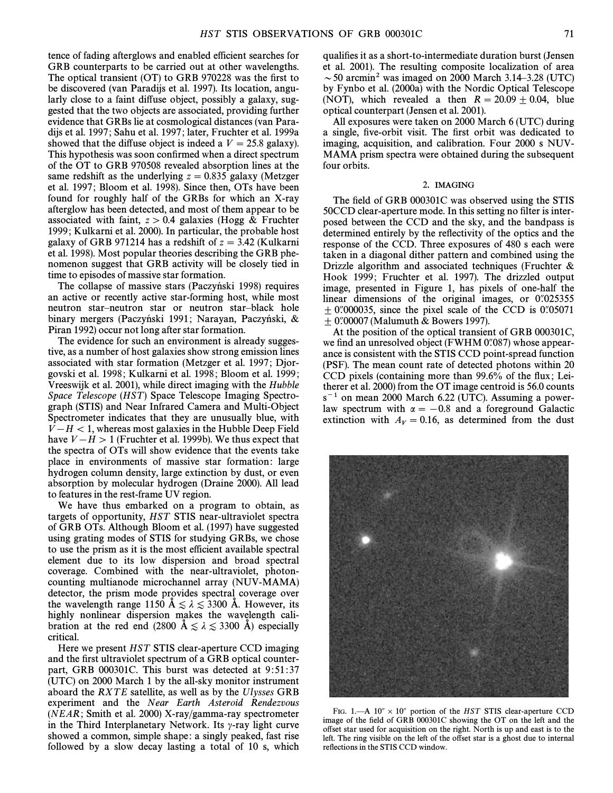tence of fading afterglows and enabled efficient searches for GRB counterparts to be carried out at other wavelengths. The optical transient  $(OT)$  to GRB 970228 was the first to be discovered (van Paradijs et al. 1997). Its location, angularly close to a faint diffuse object, possibly a galaxy, suggested that the two objects are associated, providing further evidence that GRBs lie at cosmological distances (van Paradijs et al. 1997 ; Sahu et al. 1997 ; later, Fruchter et al. 1999a showed that the diffuse object is indeed a  $V = 25.8$  galaxy). This hypothesis was soon confirmed when a direct spectrum of the OT to GRB 970508 revealed absorption lines at the same redshift as the underlying  $z = 0.835$  galaxy (Metzger et al. 1997; Bloom et al. 1998). Since then, OTs have been found for roughly half of the GRBs for which an X-ray afterglow has been detected, and most of them appear to be associated with faint,  $z > 0.4$  galaxies (Hogg & Fruchter 1999 ; Kulkarni et al. 2000). In particular, the probable host galaxy of GRB 971214 has a redshift of  $z = 3.42$  (Kulkarni et al. 1998). Most popular theories describing the GRB phenomenon suggest that GRB activity will be closely tied in time to episodes of massive star formation.

The collapse of massive stars (Paczyński 1998) requires an active or recently active star-forming host, while most neutron star—neutron star or neutron star—black hole binary mergers (Paczyński 1991; Narayan, Paczyński,  $\&$ Piran 1992) occur not long after star formation.

The evidence for such an environment is already suggestive, as a number of host galaxies show strong emission lines associated with star formation (Metzger et al. 1997; Djorgovski et al. 1998; Kulkarni et al. 1998; Bloom et al. 1999; Vreeswijk et al. 2001), while direct imaging with the Hubble Space Telescope (HST) Space Telescope Imaging Spectrograph (STIS) and Near Infrared Camera and Multi-Object Spectrometer indicates that they are unusually blue, with  $V-H < 1$ , whereas most galaxies in the Hubble Deep Field have  $V - H > 1$  (Fruchter et al. 1999b). We thus expect that the spectra of OTs will show evidence that the events take place in environments of massive star formation: large hydrogen column density, large extinction by dust, or even absorption by molecular hydrogen (Draine 2000). All lead to features in the rest-frame UV region.

We have thus embarked on a program to obtain, as targets of opportunity, HST STIS near-ultraviolet spectra of GRB OTs. Although Bloom et al. (1997) have suggested using grating modes of STIS for studying GRBs, we chose to use the prism as it is the most efficient available spectral element due to its low dispersion and broad spectral coverage. Combined with the near-ultraviolet, photoncounting multianode microchannel array (NUV-MAMA) detector, the prism mode provides spectral coverage over the wavelength range 1150  $\AA \lesssim \lambda \lesssim 3300$  Å. However, its highly nonlinear dispersion makes the wavelength calibration at the red end (2800  $\AA \lesssim \lambda \lesssim 3300$  Å) especially critical.

Here we present HST STIS clear-aperture CCD imaging and the first ultraviolet spectrum of a GRB optical counterpart, GRB 000301C. This burst was detected at 9:51:37 (UTC) on 2000 March 1 by the all-sky monitor instrument aboard the RXTE satellite, as well as by the Ulysses GRB experiment and the Near Earth Asteroid Rendezvous (NEAR; Smith et al. 2000) X-ray/gamma-ray spectrometer in the Third Interplanetary Network. Its  $\gamma$ -ray light curve showed a common, simple shape: a singly peaked, fast rise followed by a slow decay lasting a total of 10 s, which qualifies it as a short-to-intermediate duration burst (Jensen et al. 2001). The resulting composite localization of area  $\sim$  50 arcmin<sup>2</sup> was imaged on 2000 March 3.14–3.28 (UTC) by Fynbo et al. (2000a) with the Nordic Optical Telescope (NOT), which revealed a then  $R = 20.09 \pm 0.04$ , blue optical counterpart (Jensen et al. 2001).

All exposures were taken on 2000 March 6 (UTC) during a single, five-orbit visit. The first orbit was dedicated to imaging, acquisition, and calibration. Four 2000 s NUV-MAMA prism spectra were obtained during the subsequent four orbits.

#### 2. IMAGING

The field of GRB 000301C was observed using the STIS 50CCD clear-aperture mode. In this setting no filter is interposed between the CCD and the sky, and the bandpass is determined entirely by the reflectivity of the optics and the response of the CCD. Three exposures of 480 s each were taken in a diagonal dither pattern and combined using the Drizzle algorithm and associated techniques (Fruchter & Hook 1999; Fruchter et al. 1997). The drizzled output image, presented in Figure 1, has pixels of one-half the linear dimensions of the original images, or  $0.025355$  $\pm$  0.000035, since the pixel scale of the CCD is 0.05071  $+$  0.700007 (Malumuth & Bowers 1997).

At the position of the optical transient of GRB 000301C, we find an unresolved object (FWHM  $0\degree/087$ ) whose appearance is consistent with the STIS CCD point-spread function (PSF). The mean count rate of detected photons within 20 CCD pixels (containing more than  $99.6\%$  of the flux; Leitherer et al. 2000) from the OT image centroid is 56.0 counts  $s^{-1}$  on mean 2000 March 6.22 (UTC). Assuming a powerlaw spectrum with  $\alpha = -0.8$  and a foreground Galactic extinction with  $A_V = 0.16$ , as determined from the dust



FIG. 1.—A  $10'' \times 10''$  portion of the HST STIS clear-aperture CCD image of the field of GRB 000301C showing the OT on the left and the o†set star used for acquisition on the right. North is up and east is to the left. The ring visible on the left of the offset star is a ghost due to internal reflections in the STIS CCD window.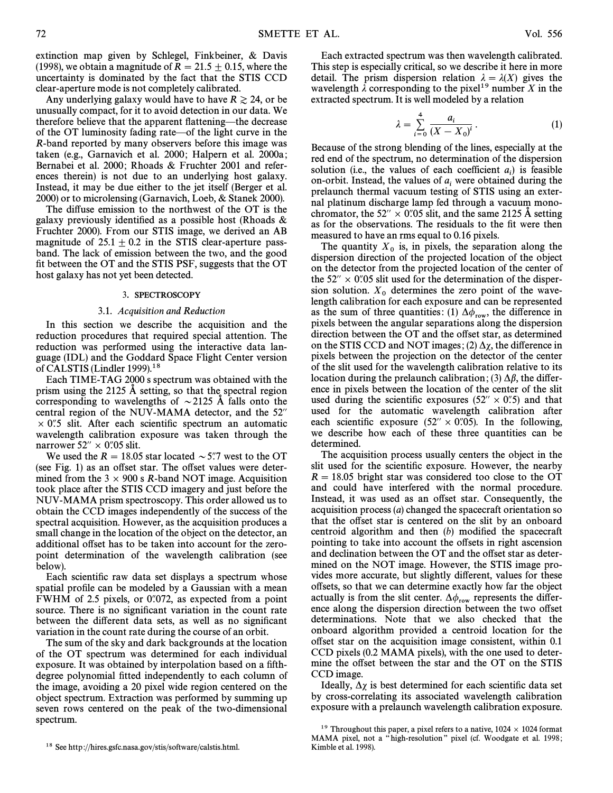extinction map given by Schlegel, Finkbeiner, & Davis (1998), we obtain a magnitude of  $R = 21.5 \pm 0.15$ , where the uncertainty is dominated by the fact that the STIS CCD clear-aperture mode is not completely calibrated.

Any underlying galaxy would have to have  $R \ge 24$ , or be unusually compact, for it to avoid detection in our data. We therefore believe that the apparent flattening—the decrease of the OT luminosity fading rate—of the light curve in the R-band reported by many observers before this image was taken (e.g., Garnavich et al. 2000; Halpern et al. 2000a; Bernabei et al. 2000; Rhoads & Fruchter 2001 and references therein) is not due to an underlying host galaxy. Instead, it may be due either to the jet itself (Berger et al. 2000) or to microlensing (Garnavich, Loeb, & Stanek 2000).

The diffuse emission to the northwest of the OT is the galaxy previously identified as a possible host (Rhoads  $\&$ Fruchter 2000). From our STIS image, we derived an AB magnitude of  $25.1 \pm 0.2$  in the STIS clear-aperture passband. The lack of emission between the two, and the good fit between the OT and the STIS PSF, suggests that the OT host galaxy has not yet been detected.

#### 3. SPECTROSCOPY

#### 3.1. Acquisition and Reduction

In this section we describe the acquisition and the reduction procedures that required special attention. The reduction was performed using the interactive data language (IDL) and the Goddard Space Flight Center version of CALSTIS (Lindler 1999).<sup>18</sup>

Each TIME-TAG 2000 s spectrum was obtained with the prism using the 2125  $\AA$  setting, so that the spectral region corresponding to wavelengths of  $\sim$  2125 Å falls onto the central region of the NUV-MAMA detector, and the 52"  $\times$  0.75 slit. After each scientific spectrum an automatic wavelength calibration exposure was taken through the narrower  $52'' \times 0$ .05 slit.

We used the  $R = 18.05$  star located  $\sim 5\degree/7$  west to the OT (see Fig. 1) as an offset star. The offset values were determined from the  $3 \times 900$  s R-band NOT image. Acquisition took place after the STIS CCD imagery and just before the NUV-MAMA prism spectroscopy. This order allowed us to obtain the CCD images independently of the success of the spectral acquisition. However, as the acquisition produces a small change in the location of the object on the detector, an additional offset has to be taken into account for the zeropoint determination of the wavelength calibration (see below).

Each scientific raw data set displays a spectrum whose spatial profile can be modeled by a Gaussian with a mean FWHM of 2.5 pixels, or  $0\rlap.{''}072$ , as expected from a point source. There is no significant variation in the count rate between the different data sets, as well as no significant variation in the count rate during the course of an orbit.

The sum of the sky and dark backgrounds at the location of the OT spectrum was determined for each individual exposure. It was obtained by interpolation based on a fifthdegree polynomial fitted independently to each column of the image, avoiding a 20 pixel wide region centered on the object spectrum. Extraction was performed by summing up seven rows centered on the peak of the two-dimensional spectrum.

Each extracted spectrum was then wavelength calibrated. This step is especially critical, so we describe it here in more detail. The prism dispersion relation  $\lambda = \lambda(X)$  gives the wavelength  $\lambda$  corresponding to the pixel<sup>19</sup> number X in the extracted spectrum. It is well modeled by a relation

$$
\lambda = \sum_{i=0}^{4} \frac{a_i}{(X - X_0)^i} \,. \tag{1}
$$

Because of the strong blending of the lines, especially at the red end of the spectrum, no determination of the dispersion solution (i.e., the values of each coefficient  $a_i$ ) is feasible on-orbit. Instead, the values of  $a_i$  were obtained during the prelaunch thermal vacuum testing of STIS using an external platinum discharge lamp fed through a vacuum monochromator, the 52"  $\times$  0".05 slit, and the same 2125 Å setting as for the observations. The residuals to the fit were then

measured to have an rms equal to 0.16 pixels.<br>The quantity  $X_0$  is, in pixels, the separation along the dispersion direction of the projected location of the object on the detector from the projected location of the center of the 52"  $\times$  0".05 slit used for the determination of the dispersion solution.  $X_0$  determines the zero point of the wave-<br>length calibration for each exposure and can be represented as the sum of three quantities: (1)  $\Delta\phi_{\text{row}}$ , the difference in pixels between the angular separations along the dispersion direction between the OT and the offset star, as determined on the STIS CCD and NOT images; (2)  $\Delta \chi$ , the difference in pixels between the projection on the detector of the center of the slit used for the wavelength calibration relative to its location during the prelaunch calibration; (3)  $\Delta \beta$ , the difference in pixels between the location of the center of the slit used during the scientific exposures  $(52'' \times 0.5)$  and that used for the automatic wavelength calibration after each scientific exposure  $(52'' \times 0''05)$ . In the following, we describe how each of these three quantities can be determined.

The acquisition process usually centers the object in the slit used for the scientific exposure. However, the nearby  $R = 18.05$  bright star was considered too close to the OT and could have interfered with the normal procedure. Instead, it was used as an offset star. Consequently, the acquisition process (a) changed the spacecraft orientation so that the offset star is centered on the slit by an onboard centroid algorithm and then  $(b)$  modified the spacecraft pointing to take into account the offsets in right ascension and declination between the OT and the offset star as determined on the NOT image. However, the STIS image provides more accurate, but slightly different, values for these o†sets, so that we can determine exactly how far the object actually is from the slit center.  $\Delta\phi_{\text{row}}$  represents the difference along the dispersion direction between the two offset determinations. Note that we also checked that the onboard algorithm provided a centroid location for the o†set star on the acquisition image consistent, within 0.1 CCD pixels (0.2 MAMA pixels), with the one used to determine the offset between the star and the OT on the STIS CCD image.

Ideally,  $\Delta \chi$  is best determined for each scientific data set by cross-correlating its associated wavelength calibration exposure with a prelaunch wavelength calibration exposure.

<sup>18</sup> See http ://hires.gsfc.nasa.gov/stis/software/calstis.html.

<sup>&</sup>lt;sup>19</sup> Throughout this paper, a pixel refers to a native,  $1024 \times 1024$  format MAMA pixel, not a "high-resolution" pixel (cf. Woodgate et al. 1998; Kimble et al. 1998).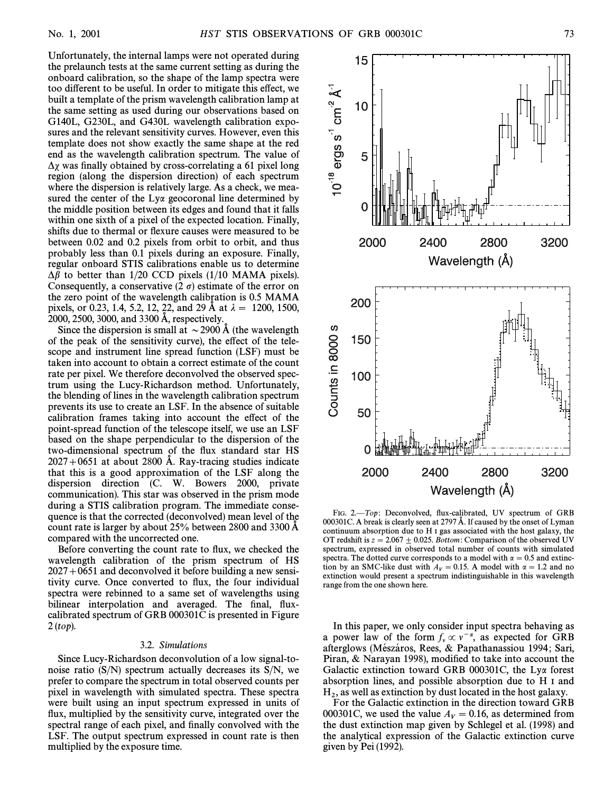Unfortunately, the internal lamps were not operated during the prelaunch tests at the same current setting as during the onboard calibration, so the shape of the lamp spectra were too different to be useful. In order to mitigate this effect, we built a template of the prism wavelength calibration lamp at the same setting as used during our observations based on G140L, G230L, and G430L wavelength calibration exposures and the relevant sensitivity curves. However, even this template does not show exactly the same shape at the red end as the wavelength calibration spectrum. The value of  $\Delta \chi$  was finally obtained by cross-correlating a 61 pixel long region (along the dispersion direction) of each spectrum where the dispersion is relatively large. As a check, we measured the center of the Lya geocoronal line determined by the middle position between its edges and found that it falls within one sixth of a pixel of the expected location. Finally, shifts due to thermal or flexure causes were measured to be between 0.02 and 0.2 pixels from orbit to orbit, and thus probably less than 0.1 pixels during an exposure. Finally, regular onboard STIS calibrations enable us to determine  $\Delta \beta$  to better than 1/20 CCD pixels (1/10 MAMA pixels). Consequently, a conservative  $(2 \sigma)$  estimate of the error on the zero point of the wavelength calibration is 0.5 MAMA pixels, or 0.23, 1.4, 5.2, 12, 22, and 29 Å at  $\lambda = 1200, 1500$ ,  $2000, 2500, 3000,$  and  $3300 \text{ Å}$ , respectively.

Since the dispersion is small at  $\sim$  2900 Å (the wavelength of the peak of the sensitivity curve), the effect of the telescope and instrument line spread function (LSF) must be taken into account to obtain a correct estimate of the count rate per pixel. We therefore deconvolved the observed spectrum using the Lucy-Richardson method. Unfortunately, the blending of lines in the wavelength calibration spectrum prevents its use to create an LSF. In the absence of suitable calibration frames taking into account the e†ect of the point-spread function of the telescope itself, we use an LSF based on the shape perpendicular to the dispersion of the two-dimensional spectrum of the flux standard star HS  $2027+0651$  at about 2800 A. Ray-tracing studies indicate that this is a good approximation of the LSF along the dispersion direction (C. W. Bowers 2000, private communication). This star was observed in the prism mode during a STIS calibration program. The immediate consequence is that the corrected (deconvolved) mean level of the count rate is larger by about 25% between 2800 and 3300 A compared with the uncorrected one.

Before converting the count rate to flux, we checked the wavelength calibration of the prism spectrum of HS  $2027+0651$  and deconvolved it before building a new sensitivity curve. Once converted to flux, the four individual spectra were rebinned to a same set of wavelengths using bilinear interpolation and averaged. The final, fluxcalibrated spectrum of GRB 000301C is presented in Figure 2 (top).

# 3.2. Simulations

Since Lucy-Richardson deconvolution of a low signal-tonoise ratio  $(S/N)$  spectrum actually decreases its  $S/N$ , we prefer to compare the spectrum in total observed counts per pixel in wavelength with simulated spectra. These spectra were built using an input spectrum expressed in units of flux, multiplied by the sensitivity curve, integrated over the spectral range of each pixel, and finally convolved with the LSF. The output spectrum expressed in count rate is then multiplied by the exposure time.



FIG. 2.-Top: Deconvolved, flux-calibrated, UV spectrum of GRB 000301C. A break is clearly seen at 2797 Å. If caused by the onset of Lyman continuum absorption due to H I gas associated with the host galaxy, the OT redshift is  $z = 2.067 \pm 0.025$ . Bottom: Comparison of the observed UV spectrum, expressed in observed total number of counts with simulated spectra. The dotted curve corresponds to a model with  $\alpha = 0.5$  and extinction by an SMC-like dust with  $A_V = 0.15$ . A model with  $\alpha = 1.2$  and no extinction would present a spectrum indistinguishable in this wavelength range from the one shown here.

In this paper, we only consider input spectra behaving as a power law of the form  $f_v \propto v^{-\alpha}$ , as expected for GRB a power law of the form  $f_v \propto v$ , as expected for SKB<br>afterglows (Mészáros, Rees, & Papathanassiou 1994; Sari, Piran, & Narayan 1998), modified to take into account the Galactic extinction toward GRB 000301C, the Lya forest absorption lines, and possible absorption due to H I and

 $H_2$ , as well as extinction by dust located in the host galaxy.<br>For the Galactic extinction in the direction toward GB For the Galactic extinction in the direction toward GRB 000301C, we used the value  $A_V = 0.16$ , as determined from the dust extinction map given by Schlegel et al. (1998) and the analytical expression of the Galactic extinction curve given by Pei (1992).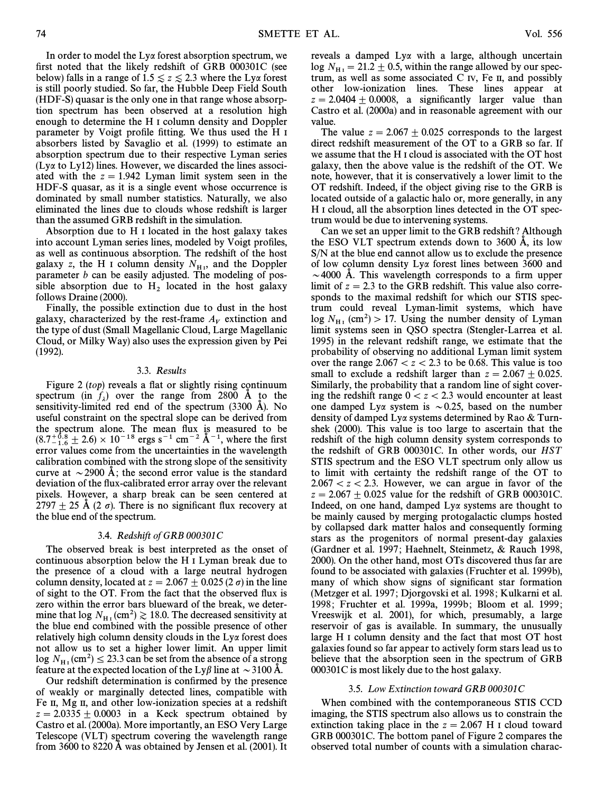In order to model the Lya forest absorption spectrum, we first noted that the likely redshift of GRB 000301C (see below) falls in a range of 1.5  $\le z \le 2.3$  where the Ly $\alpha$  forest is still poorly studied. So far, the Hubble Deep Field South (HDF-S) quasar is the only one in that range whose absorption spectrum has been observed at a resolution high enough to determine the H I column density and Doppler parameter by Voigt profile fitting. We thus used the H I absorbers listed by Savaglio et al. (1999) to estimate an absorption spectrum due to their respective Lyman series (Lya to Ly12) lines. However, we discarded the lines associated with the  $z = 1.942$  Lyman limit system seen in the HDF-S quasar, as it is a single event whose occurrence is dominated by small number statistics. Naturally, we also eliminated the lines due to clouds whose redshift is larger than the assumed GRB redshift in the simulation.

Absorption due to H I located in the host galaxy takes into account Lyman series lines, modeled by Voigt profiles, as well as continuous absorption. The redshift of the host galaxy z, the H I column density  $N_{\text{H}_1}$ , and the Doppler narrameter h can be easily adjusted. The modeling of pos parameter  $b$  can be easily adjusted. The modeling of possible absorption due to  $H_2$  located in the host galaxy follows Draine (2000).

Finally, the possible extinction due to dust in the host galaxy, characterized by the rest-frame  $A_V$  extinction and the type of dust (Small Magellanic Cloud, Large Magellanic Cloud, or Milky Way) also uses the expression given by Pei (1992).

## 3.3. Results

Figure 2 (top) reveals a flat or slightly rising continuum spectrum (in  $f_{\lambda}$ ) over the range from 2800 Å to the sensitivity-limited red end of the spectrum  $(3300 \text{ Å})$ . No useful constraint on the spectral slope can be derived from the spectrum alone. The mean Ñux is measured to be  $(8.7^{+0.8}_{-1.6} \pm 2.6) \times 10^{-18}$  ergs s<sup>-1</sup> cm<sup>-2</sup> A<sup>-1</sup>, where the first<br>error values come from the uncertainties in the wavelength error values come from the uncertainties in the wavelength calibration combined with the strong slope of the sensitivity curve at  $\sim$  2900 Å; the second error value is the standard deviation of the flux-calibrated error array over the relevant pixels. However, a sharp break can be seen centered at 2797  $\pm$  25 Å (2  $\sigma$ ). There is no significant flux recovery at the blue end of the spectrum.

# 3.4. Redshift of GRB 000301C

The observed break is best interpreted as the onset of continuous absorption below the H I Lyman break due to the presence of a cloud with a large neutral hydrogen column density, located at  $z = 2.067 \pm 0.025$  (2  $\sigma$ ) in the line of sight to the OT. From the fact that the observed flux is zero within the error bars blueward of the break, we determine that  $\log N_{\text{H}_1}$  (cm<sup>2</sup>)  $\gtrsim$  18.0. The decreased sensitivity at the blue and combined with the possible presence of other the blue end combined with the possible presence of other relatively high column density clouds in the Lya forest does not allow us to set a higher lower limit. An upper limit log  $N_{\text{H}_{\text{I}}}(\text{cm}^2) \le 23.3$  can be set from the absence of a strong feature at the expected location of the Ly $\beta$  line at  $\sim$  3100 Å.

Our redshift determination is confirmed by the presence of weakly or marginally detected lines, compatible with Fe II, Mg II, and other low-ionization species at a redshift  $z = 2.0335 \pm 0.0003$  in a Keck spectrum obtained by Castro et al. (2000a). More importantly, an ESO Very Large Telescope (VLT) spectrum covering the wavelength range from 3600 to 8220 A was obtained by Jensen et al.  $(2001)$ . It

reveals a damped Lya with a large, although uncertain  $\log N_{\text{H I}} = 21.2 \pm 0.5$ , within the range allowed by our spec-<br>trum, as well as some associated C  $N_f$ . Fe H, and possibly trum, as well as some associated C IV, Fe II, and possibly other low-ionization lines. These lines appear at  $z = 2.0404 \pm 0.0008$ , a significantly larger value than Castro et al. (2000a) and in reasonable agreement with our value.

The value  $z = 2.067 \pm 0.025$  corresponds to the largest direct redshift measurement of the OT to a GRB so far. If we assume that the H I cloud is associated with the OT host galaxy, then the above value is the redshift of the OT. We note, however, that it is conservatively a lower limit to the OT redshift. Indeed, if the object giving rise to the GRB is located outside of a galactic halo or, more generally, in any H I cloud, all the absorption lines detected in the OT spectrum would be due to intervening systems.

Can we set an upper limit to the GRB redshift ? Although the ESO VLT spectrum extends down to  $3600 \text{ Å}$ , its low S/N at the blue end cannot allow us to exclude the presence of low column density Lya forest lines between 3600 and  $\sim$  4000 Å. This wavelength corresponds to a firm upper limit of  $z = 2.3$  to the GRB redshift. This value also corresponds to the maximal redshift for which our STIS spectrum could reveal Lyman-limit systems, which have log  $N_{\text{H}_{I}}$  (cm<sup>2</sup>) > 17. Using the number density of Lyman limit systems seen in QSO spectra (Stengler-Larrea et al. 1995) in the relevant redshift range, we estimate that the probability of observing no additional Lyman limit system over the range  $2.067 < z < 2.3$  to be 0.68. This value is too small to exclude a redshift larger than  $z = 2.067 \pm 0.025$ . Similarly, the probability that a random line of sight covering the redshift range  $0 \lt z \lt 2.3$  would encounter at least one damped Ly $\alpha$  system is  $\sim 0.25$ , based on the number density of damped Lya systems determined by Rao & Turnshek (2000). This value is too large to ascertain that the redshift of the high column density system corresponds to the redshift of GRB 000301C. In other words, our HST STIS spectrum and the ESO VLT spectrum only allow us to limit with certainty the redshift range of the OT to  $2.067 < z < 2.3$ . However, we can argue in favor of the  $z = 2.067 \pm 0.025$  value for the redshift of GRB 000301C. Indeed, on one hand, damped Lya systems are thought to be mainly caused by merging protogalactic clumps hosted by collapsed dark matter halos and consequently forming stars as the progenitors of normal present-day galaxies (Gardner et al. 1997; Haehnelt, Steinmetz, & Rauch 1998, 2000). On the other hand, most OTs discovered thus far are found to be associated with galaxies (Fruchter et al. 1999b), many of which show signs of significant star formation (Metzger et al. 1997; Djorgovski et al. 1998; Kulkarni et al. 1998; Fruchter et al. 1999a, 1999b; Bloom et al. 1999; Vreeswijk et al. 2001), for which, presumably, a large reservoir of gas is available. In summary, the unusually large H I column density and the fact that most OT host galaxies found so far appear to actively form stars lead us to believe that the absorption seen in the spectrum of GRB 000301C is most likely due to the host galaxy.

#### 3.5. Low Extinction toward GRB 000301C

When combined with the contemporaneous STIS CCD imaging, the STIS spectrum also allows us to constrain the extinction taking place in the  $z = 2.067$  H I cloud toward GRB 000301C. The bottom panel of Figure 2 compares the observed total number of counts with a simulation charac-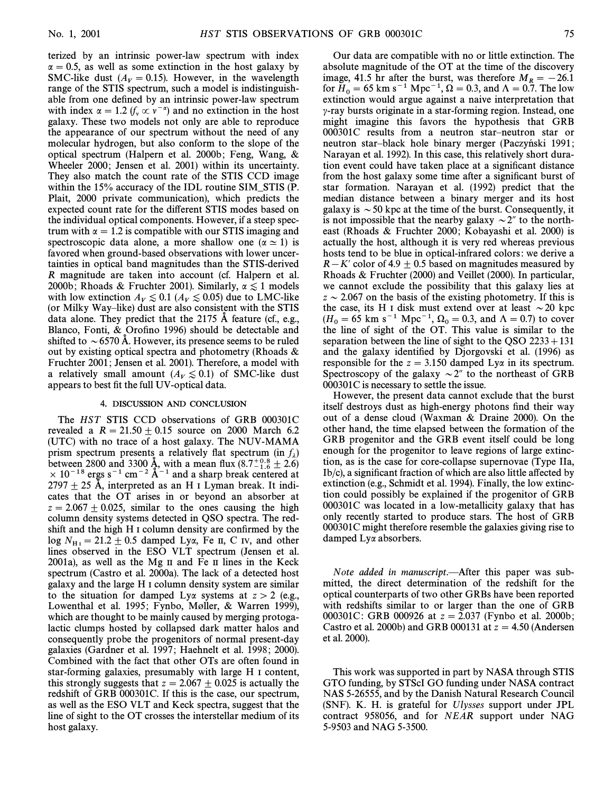terized by an intrinsic power-law spectrum with index  $\alpha = 0.5$ , as well as some extinction in the host galaxy by SMC-like dust ( $A_V = 0.15$ ). However, in the wavelength range of the STIS spectrum, such a model is indistinguishable from one defined by an intrinsic power-law spectrum with index  $\alpha = 1.2$  ( $f_v \propto v^{-\alpha}$ ) and no extinction in the host galaxy. These two models not only are able to reproduce the appearance of our spectrum without the need of any molecular hydrogen, but also conform to the slope of the optical spectrum (Halpern et al. 2000b; Feng, Wang,  $\&$ Wheeler 2000; Jensen et al. 2001) within its uncertainty. They also match the count rate of the STIS CCD image within the 15% accuracy of the IDL routine SIM–STIS (P. Plait, 2000 private communication), which predicts the expected count rate for the di†erent STIS modes based on the individual optical components. However, if a steep spectrum with  $\alpha = 1.2$  is compatible with our STIS imaging and spectroscopic data alone, a more shallow one  $(\alpha \approx 1)$  is favored when ground-based observations with lower uncertainties in optical band magnitudes than the STIS-derived R magnitude are taken into account (cf. Halpern et al. 2000b; Rhoads & Fruchter 2001). Similarly,  $\alpha \lesssim 1$  models with low extinction  $A_V \lesssim 0.1$  ( $A_V \lesssim 0.05$ ) due to LMC-like (or Milky Way–like) dust are also consistent with the STIS data alone. They predict that the  $2175$  A feature (cf., e.g., Blanco, Fonti,  $&$  Orofino 1996) should be detectable and shifted to  $\sim$  6570 Å. However, its presence seems to be ruled out by existing optical spectra and photometry (Rhoads & Fruchter 2001; Jensen et al. 2001). Therefore, a model with a relatively small amount  $(A_V \le 0.1)$  of SMC-like dust appears to best fit the full UV-optical data.

#### 4. DISCUSSION AND CONCLUSION

The HST STIS CCD observations of GRB 000301C revealed a  $R = 21.50 + 0.15$  source on 2000 March 6.2 (UTC) with no trace of a host galaxy. The NUV-MAMA prism spectrum presents a relatively flat spectrum (in  $f_{\lambda}$ ) between 2800 and 3300 Å, with a mean flux  $(8.7^{+0.8}_{-1.6} \pm 2.6)$ <br> $\times$  10<sup>-18</sup> ergs s<sup>-1</sup> cm<sup>-2</sup> Å<sup>-1</sup> and a sharp break centered at  $2797 + 25$  Å, interpreted as an H I Lyman break. It indicates that the OT arises in or beyond an absorber at  $z = 2.067 \pm 0.025$ , similar to the ones causing the high column density systems detected in QSO spectra. The redshift and the high H I column density are confirmed by the  $\log N_{\text{H I}} = 21.2 \pm 0.5$  damped Lya, Fe II, C IV, and other lines observed in the ESO VI T spectrum (Jensen et al. lines observed in the ESO VLT spectrum (Jensen et al. 2001a), as well as the Mg II and Fe II lines in the Keck spectrum (Castro et al. 2000a). The lack of a detected host galaxy and the large H I column density system are similar to the situation for damped Ly $\alpha$  systems at  $z > 2$  (e.g., Lowenthal et al. 1995; Fynbo, Møller, & Warren 1999), which are thought to be mainly caused by merging protogalactic clumps hosted by collapsed dark matter halos and consequently probe the progenitors of normal present-day galaxies (Gardner et al. 1997; Haehnelt et al. 1998; 2000). Combined with the fact that other OTs are often found in star-forming galaxies, presumably with large H I content, this strongly suggests that  $z = 2.067 \pm 0.025$  is actually the redshift of GRB 000301C. If this is the case, our spectrum, as well as the ESO VLT and Keck spectra, suggest that the line of sight to the OT crosses the interstellar medium of its host galaxy.

Our data are compatible with no or little extinction. The absolute magnitude of the OT at the time of the discovery image, 41.5 hr after the burst, was therefore  $M_R = -26.1$ for  $H_0 = 65$  km s<sup>-1</sup> Mpc<sup>-1</sup>,  $\Omega = 0.3$ , and  $\Lambda = 0.7$ . The low extinction would argue against a naive interpretation that  $\gamma$ -ray bursts originate in a star-forming region. Instead, one might imagine this favors the hypothesis that GRB 000301C results from a neutron star-neutron star or neutron star-black hole binary merger (Paczyński 1991; Narayan et al. 1992). In this case, this relatively short duration event could have taken place at a significant distance from the host galaxy some time after a significant burst of star formation. Narayan et al. (1992) predict that the median distance between a binary merger and its host galaxy is  $\sim$  50 kpc at the time of the burst. Consequently, it is not impossible that the nearby galaxy  $\sim$  2" to the northeast (Rhoads & Fruchter 2000; Kobayashi et al. 2000) is actually the host, although it is very red whereas previous hosts tend to be blue in optical-infrared colors: we derive a  $R-K'$  color of 4.9  $\pm$  0.5 based on magnitudes measured by Rhoads & Fruchter (2000) and Veillet (2000). In particular, we cannot exclude the possibility that this galaxy lies at  $z \sim 2.067$  on the basis of the existing photometry. If this is the case, its H I disk must extend over at least  $\sim$  20 kpc  $(H_0 = 65 \text{ km s}^{-1} \text{ Mpc}^{-1}, \Omega_0 = 0.3, \text{ and } \Lambda = 0.7) \text{ to cover}$ the line of sight of the OT. This value is similar to the separation between the line of sight to the QSO  $2233+131$ and the galaxy identified by Djorgovski et al. (1996) as responsible for the  $z = 3.150$  damped Ly $\alpha$  in its spectrum. Spectroscopy of the galaxy  $\sim$  2" to the northeast of GRB 000301C is necessary to settle the issue.

However, the present data cannot exclude that the burst itself destroys dust as high-energy photons find their way out of a dense cloud (Waxman & Draine 2000). On the other hand, the time elapsed between the formation of the GRB progenitor and the GRB event itself could be long enough for the progenitor to leave regions of large extinction, as is the case for core-collapse supernovae (Type IIa,  $Ib/c$ ), a significant fraction of which are also little affected by extinction (e.g., Schmidt et al. 1994). Finally, the low extinction could possibly be explained if the progenitor of GRB 000301C was located in a low-metallicity galaxy that has only recently started to produce stars. The host of GRB 000301C might therefore resemble the galaxies giving rise to damped Lya absorbers.

Note added in manuscript.—After this paper was submitted, the direct determination of the redshift for the optical counterparts of two other GRBs have been reported with redshifts similar to or larger than the one of GRB 000301C: GRB 000926 at  $z = 2.037$  (Fynbo et al. 2000b; Castro et al. 2000b) and GRB 000131 at  $z = 4.50$  (Andersen et al. 2000).

This work was supported in part by NASA through STIS GTO funding, by STScI GO funding under NASA contract NAS 5-26555, and by the Danish Natural Research Council (SNF). K. H. is grateful for Ulysses support under JPL contract 958056, and for NEAR support under NAG 5-9503 and NAG 5-3500.